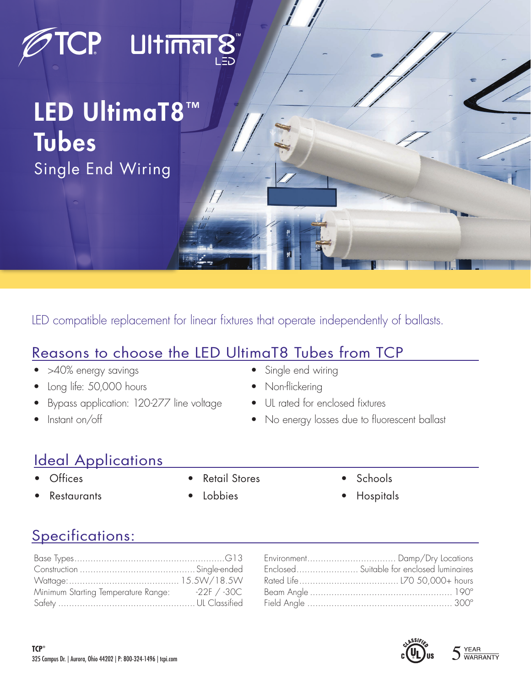# **TCP Ultimarg**

## LED UltimaT8™ Tubes Single End Wiring

LED compatible replacement for linear fixtures that operate independently of ballasts.

#### Reasons to choose the LED UltimaT8 Tubes from TCP

- >40% energy savings
- Long life: 50,000 hours
- Bypass application: 120-277 line voltage
- Instant on/off
- 
- 
- No energy losses due to fluorescent ballast

### Ideal Applications

- **Offices**
- **Restaurants**

• Retail Stores **Lobbies** 

- **Schools**
- Hospitals

Specifications:

| Minimum Starting Temperature Range: 22F / -30C |  |
|------------------------------------------------|--|
|                                                |  |

| Environment Damp/Dry Locations            |
|-------------------------------------------|
| Enclosed Suitable for enclosed luminaires |
|                                           |
|                                           |
|                                           |
|                                           |



- Single end wiring
- Non-flickering
- UL rated for enclosed fixtures
-